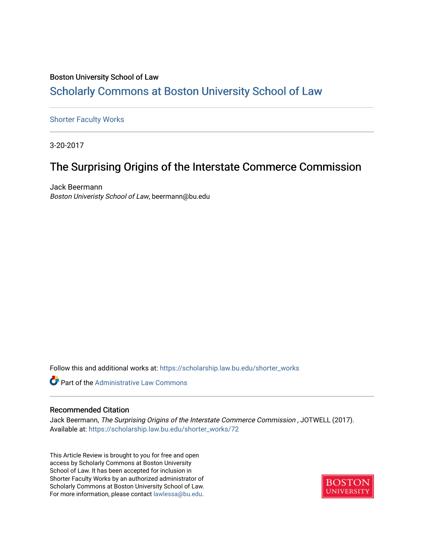### Boston University School of Law [Scholarly Commons at Boston University School of Law](https://scholarship.law.bu.edu/)

### [Shorter Faculty Works](https://scholarship.law.bu.edu/shorter_works)

3-20-2017

## The Surprising Origins of the Interstate Commerce Commission

Jack Beermann Boston Univeristy School of Law, beermann@bu.edu

Follow this and additional works at: [https://scholarship.law.bu.edu/shorter\\_works](https://scholarship.law.bu.edu/shorter_works?utm_source=scholarship.law.bu.edu%2Fshorter_works%2F72&utm_medium=PDF&utm_campaign=PDFCoverPages)



### Recommended Citation

Jack Beermann, The Surprising Origins of the Interstate Commerce Commission , JOTWELL (2017). Available at: [https://scholarship.law.bu.edu/shorter\\_works/72](https://scholarship.law.bu.edu/shorter_works/72?utm_source=scholarship.law.bu.edu%2Fshorter_works%2F72&utm_medium=PDF&utm_campaign=PDFCoverPages)

This Article Review is brought to you for free and open access by Scholarly Commons at Boston University School of Law. It has been accepted for inclusion in Shorter Faculty Works by an authorized administrator of Scholarly Commons at Boston University School of Law. For more information, please contact [lawlessa@bu.edu](mailto:lawlessa@bu.edu).

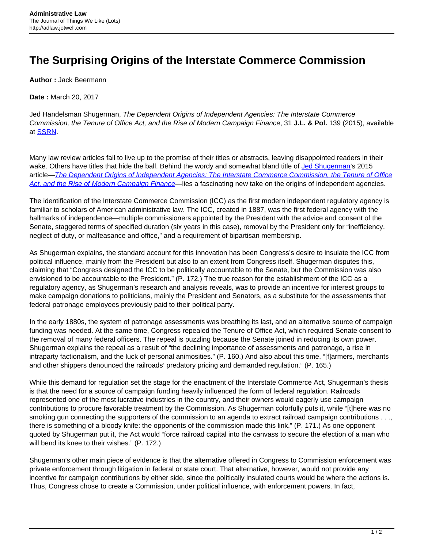# **The Surprising Origins of the Interstate Commerce Commission**

**Author :** Jack Beermann

**Date :** March 20, 2017

Jed Handelsman Shugerman, The Dependent Origins of Independent Agencies: The Interstate Commerce Commission, the Tenure of Office Act, and the Rise of Modern Campaign Finance, 31 **J.L. & Pol.** 139 (2015), available at [SSRN](https://papers.ssrn.com/sol3/Papers.cfm?abstract_id=2579382).

Many law review articles fail to live up to the promise of their titles or abstracts, leaving disappointed readers in their wake. Others have titles that hide the ball. Behind the wordy and somewhat bland title of [Jed Shugerman](https://www.fordham.edu/info/23180/jed_shugerman)'s 2015 article—[The Dependent Origins of Independent Agencies: The Interstate Commerce Commission, the Tenure of Office](https://papers.ssrn.com/sol3/Papers.cfm?abstract_id=2579382) [Act, and the Rise of Modern Campaign Finance](https://papers.ssrn.com/sol3/Papers.cfm?abstract_id=2579382)—lies a fascinating new take on the origins of independent agencies.

The identification of the Interstate Commerce Commission (ICC) as the first modern independent regulatory agency is familiar to scholars of American administrative law. The ICC, created in 1887, was the first federal agency with the hallmarks of independence—multiple commissioners appointed by the President with the advice and consent of the Senate, staggered terms of specified duration (six years in this case), removal by the President only for "inefficiency, neglect of duty, or malfeasance and office," and a requirement of bipartisan membership.

As Shugerman explains, the standard account for this innovation has been Congress's desire to insulate the ICC from political influence, mainly from the President but also to an extent from Congress itself. Shugerman disputes this, claiming that "Congress designed the ICC to be politically accountable to the Senate, but the Commission was also envisioned to be accountable to the President." (P. 172.) The true reason for the establishment of the ICC as a regulatory agency, as Shugerman's research and analysis reveals, was to provide an incentive for interest groups to make campaign donations to politicians, mainly the President and Senators, as a substitute for the assessments that federal patronage employees previously paid to their political party.

In the early 1880s, the system of patronage assessments was breathing its last, and an alternative source of campaign funding was needed. At the same time, Congress repealed the Tenure of Office Act, which required Senate consent to the removal of many federal officers. The repeal is puzzling because the Senate joined in reducing its own power. Shugerman explains the repeal as a result of "the declining importance of assessments and patronage, a rise in intraparty factionalism, and the luck of personal animosities." (P. 160.) And also about this time, "[f]armers, merchants and other shippers denounced the railroads' predatory pricing and demanded regulation." (P. 165.)

While this demand for regulation set the stage for the enactment of the Interstate Commerce Act, Shugerman's thesis is that the need for a source of campaign funding heavily influenced the form of federal regulation. Railroads represented one of the most lucrative industries in the country, and their owners would eagerly use campaign contributions to procure favorable treatment by the Commission. As Shugerman colorfully puts it, while "[t]here was no smoking gun connecting the supporters of the commission to an agenda to extract railroad campaign contributions . . ., there is something of a bloody knife: the opponents of the commission made this link." (P. 171.) As one opponent quoted by Shugerman put it, the Act would "force railroad capital into the canvass to secure the election of a man who will bend its knee to their wishes." (P. 172.)

Shugerman's other main piece of evidence is that the alternative offered in Congress to Commission enforcement was private enforcement through litigation in federal or state court. That alternative, however, would not provide any incentive for campaign contributions by either side, since the politically insulated courts would be where the actions is. Thus, Congress chose to create a Commission, under political influence, with enforcement powers. In fact,